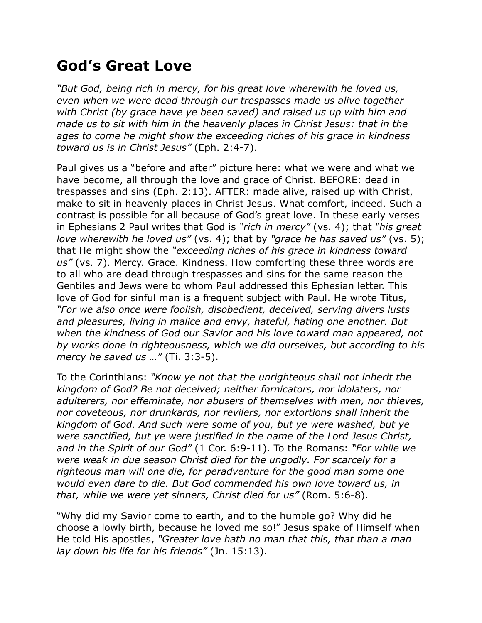## **God's Great Love**

*"But God, being rich in mercy, for his great love wherewith he loved us, even when we were dead through our trespasses made us alive together with Christ (by grace have ye been saved) and raised us up with him and made us to sit with him in the heavenly places in Christ Jesus: that in the ages to come he might show the exceeding riches of his grace in kindness toward us is in Christ Jesus"* (Eph. 2:4-7).

Paul gives us a "before and after" picture here: what we were and what we have become, all through the love and grace of Christ. BEFORE: dead in trespasses and sins (Eph. 2:13). AFTER: made alive, raised up with Christ, make to sit in heavenly places in Christ Jesus. What comfort, indeed. Such a contrast is possible for all because of God's great love. In these early verses in Ephesians 2 Paul writes that God is *"rich in mercy"* (vs. 4); that *"his great love wherewith he loved us"* (vs. 4); that by *"grace he has saved us"* (vs. 5); that He might show the *"exceeding riches of his grace in kindness toward us"* (vs. 7). Mercy. Grace. Kindness. How comforting these three words are to all who are dead through trespasses and sins for the same reason the Gentiles and Jews were to whom Paul addressed this Ephesian letter. This love of God for sinful man is a frequent subject with Paul. He wrote Titus, *"For we also once were foolish, disobedient, deceived, serving divers lusts and pleasures, living in malice and envy, hateful, hating one another. But when the kindness of God our Savior and his love toward man appeared, not by works done in righteousness, which we did ourselves, but according to his mercy he saved us …"* (Ti. 3:3-5).

To the Corinthians: *"Know ye not that the unrighteous shall not inherit the kingdom of God? Be not deceived; neither fornicators, nor idolaters, nor adulterers, nor effeminate, nor abusers of themselves with men, nor thieves, nor coveteous, nor drunkards, nor revilers, nor extortions shall inherit the kingdom of God. And such were some of you, but ye were washed, but ye were sanctified, but ye were justified in the name of the Lord Jesus Christ, and in the Spirit of our God"* (1 Cor. 6:9-11). To the Romans: *"For while we were weak in due season Christ died for the ungodly. For scarcely for a righteous man will one die, for peradventure for the good man some one would even dare to die. But God commended his own love toward us, in that, while we were yet sinners, Christ died for us"* (Rom. 5:6-8).

"Why did my Savior come to earth, and to the humble go? Why did he choose a lowly birth, because he loved me so!" Jesus spake of Himself when He told His apostles, *"Greater love hath no man that this, that than a man lay down his life for his friends"* (Jn. 15:13).